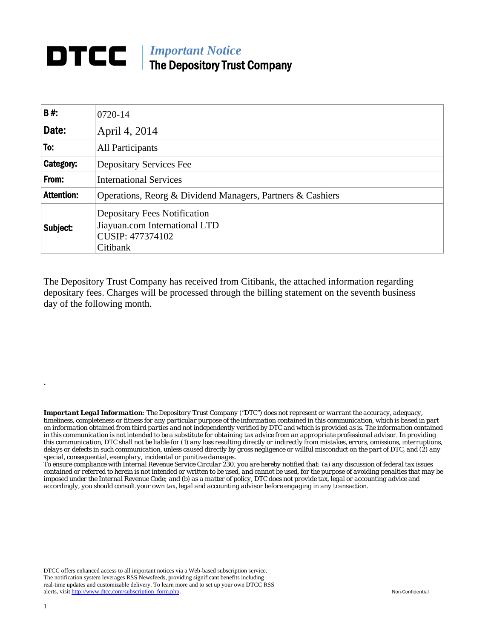## **DTCC** | *Important Notice* The Depository Trust Company

| B#:               | 0720-14                                                                                              |  |  |  |  |
|-------------------|------------------------------------------------------------------------------------------------------|--|--|--|--|
| Date:             | April 4, 2014                                                                                        |  |  |  |  |
| To:               | All Participants                                                                                     |  |  |  |  |
| Category:         | <b>Depositary Services Fee</b>                                                                       |  |  |  |  |
| From:             | <b>International Services</b>                                                                        |  |  |  |  |
| <b>Attention:</b> | Operations, Reorg & Dividend Managers, Partners & Cashiers                                           |  |  |  |  |
| Subject:          | <b>Depositary Fees Notification</b><br>Jiayuan.com International LTD<br>CUSIP: 477374102<br>Citibank |  |  |  |  |

The Depository Trust Company has received from Citibank, the attached information regarding depositary fees. Charges will be processed through the billing statement on the seventh business day of the following month.

*Important Legal Information: The Depository Trust Company ("DTC") does not represent or warrant the accuracy, adequacy, timeliness, completeness or fitness for any particular purpose of the information contained in this communication, which is based in part on information obtained from third parties and not independently verified by DTC and which is provided as is. The information contained in this communication is not intended to be a substitute for obtaining tax advice from an appropriate professional advisor. In providing this communication, DTC shall not be liable for (1) any loss resulting directly or indirectly from mistakes, errors, omissions, interruptions, delays or defects in such communication, unless caused directly by gross negligence or willful misconduct on the part of DTC, and (2) any special, consequential, exemplary, incidental or punitive damages.* 

*To ensure compliance with Internal Revenue Service Circular 230, you are hereby notified that: (a) any discussion of federal tax issues contained or referred to herein is not intended or written to be used, and cannot be used, for the purpose of avoiding penalties that may be imposed under the Internal Revenue Code; and (b) as a matter of policy, DTC does not provide tax, legal or accounting advice and accordingly, you should consult your own tax, legal and accounting advisor before engaging in any transaction.*

DTCC offers enhanced access to all important notices via a Web-based subscription service. The notification system leverages RSS Newsfeeds, providing significant benefits including real-time updates and customizable delivery. To learn more and to set up your own DTCC RSS alerts, visit http://www.dtcc.com/subscription\_form.php. Non-Confidential

.